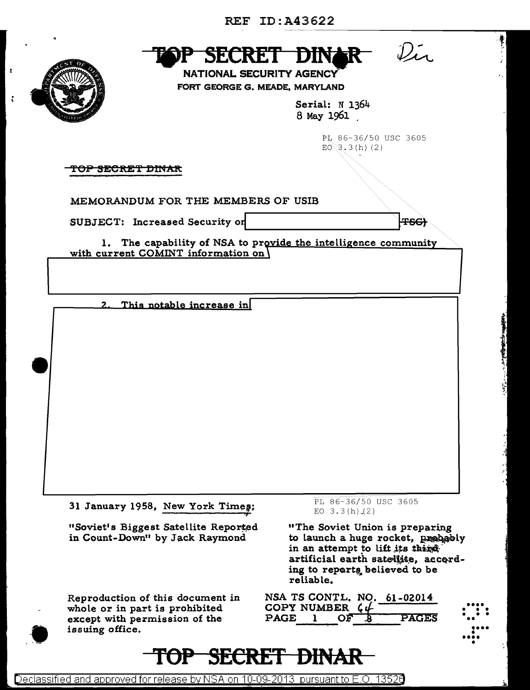

ċ



**NATIONAL SECURITY AGENCY** FORT GEORGE G. MEADE, MARYLAND

> Serial: N 1364 8 May 1961

> > PL 86-36/50 USC 3605  $E0 \gtrsim 3.3$  (h) (2)

 $\mathcal{D}_{\mathcal{L}}$ 

**TSG)** 

<del>TOP SECRET DINAR</del>

MEMORANDUM FOR THE MEMBERS OF USIB

SUBJECT: Increased Security on

1. The capability of NSA to provide the intelligence community

with current COMINT information on

This notable increase in  $\overline{2}$ .

31 January 1958, New York Times:

"Soviet's Biggest Satellite Reported in Count-Down" by Jack Raymond

Reproduction of this document in whole or in part is prohibited except with permission of the issuing office.

TOP-

PL 86-36/50 USC 3605 EO  $3.3(h)(2)$ 

"The Soviet Union is preparing to launch a huge rocket, probably in an attempt to lift its thing artificial earth satellite, according to reports believed to be reliable.

| COPY NUMBER $C\mathcal{L}$ |    |     | NSA TS CONTL. NO. 61-02014 |
|----------------------------|----|-----|----------------------------|
| $\mathbf{PAGE}$ .          | OF | - 8 | PAGES                      |

**TJII** 

**SECRET**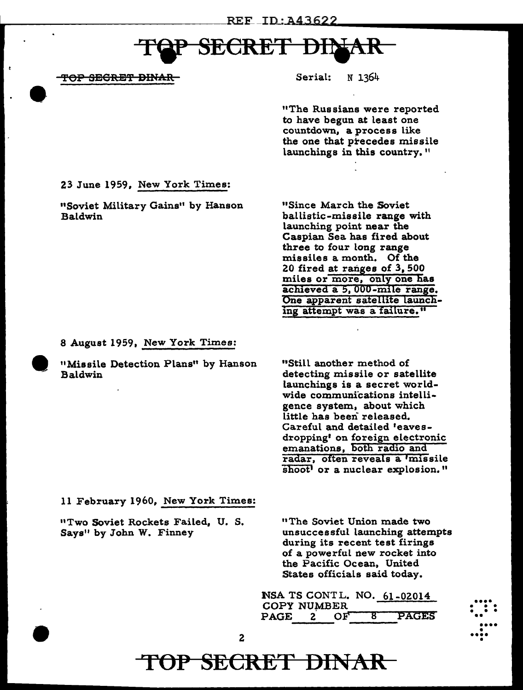# **SECRET DI**I

TOP SEGRET DINAR

Serial: N 1364

"The Russians were reported to have begun at least one countdown, a process like the one that precedes missile launchings in this country."

23 June 1959, New York Times:

"Soviet Military Gains" by Hanson Baldwin

"Since March the Soviet ballistic-missile range with launching point near the Caspian Sea has fired about three to four long range missiles a month. Of the 20 fired at ranges of 3, 500 miles or more, only one has achieved a 5,000-mile range. One apparent satellite launching attempt was a failure."

8 August 1959, New York Times:

"Missile Detection Plans" by Hanson Baldwin

"Still another method of detecting missile or satellite launchings is a secret worldwide communications intelligence system, about which little has been released. Careful and detailed 'eavesdropping' on foreign electronic emanations, both radio and radar, often reveals a 'missile shoot' or a nuclear explosion."

11 February 1960, New York Times:

"Two Soviet Rockets Failed, U. S. Says" by John W. Finney

"The Soviet Union made two unsuccessful launching attempts during its recent test firings of a powerful new rocket into the Pacific Ocean, United States officials said today.

•••• • • • • • • ••

•••• • •••• •

NSA TS CONT L. NO. 61-02014 COPY NUMBER PAGE 2 OF 8 PAGES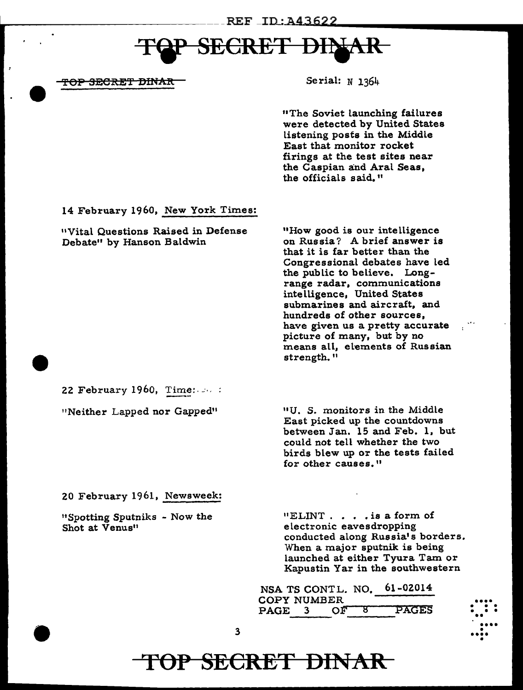# **CRET**

<del>TOP SECRET DINAR</del>

Serial:  $N$  1364

"The Soviet launching failures were detected by United States listening posts in the Middle East that monitor rocket firings at the test sites near the Caspian and Aral Seas, the officials said."

14 February 1960, New York Times:

"Vital Questions Raised in Defense Debate" by Hanson Baldwin

"How good is our intelligence on Russia? A brief answer is that it is far better than the Congressional debates have led the public to believe. Longrange radar, communications intelligence, United States submarines and aircraft, and hundreds of other sources, have given us a pretty accurate picture of many, but by no means all, elements of Russian strength."

22 February 1960, Time:  $\cdots$ :

"Neither Lapped nor Gapped"

"U. S. monitors in the Middle East picked up the countdowns between Jan. 15 and Feb. 1, but could not tell whether the two birds blew up or the tests failed for other causes."

20 February 1961, Newsweek:

"Spotting Sputniks - Now the Shot at Venus"

 $"ELINT. . . . is a form of$ electronic eavesdropping conducted along Russia's borders. When a major sputnik is being launched at either Tyura Tam or Kapustin Yar in the southwestern

61-02014 NSA TS CONTL. NO. **COPY NUMBER PAGES** PAGE 3  $\overline{OP}$ ष्ठ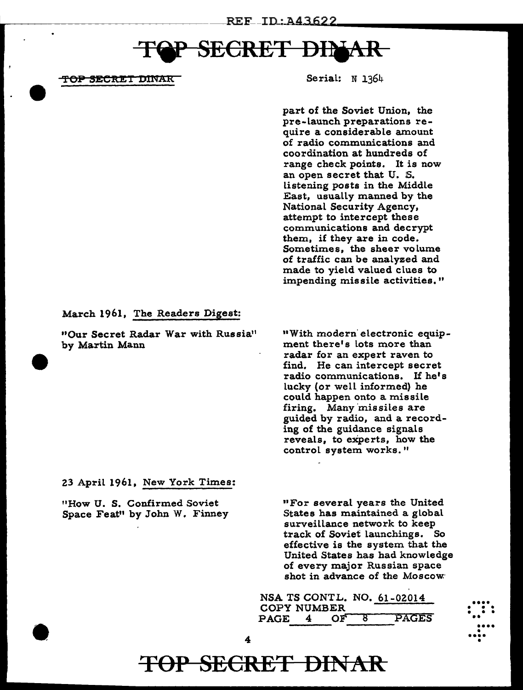## **SECRET DII**

<del>TOP SECRET D</del>INAR

Serial: N 1364

part of the Soviet Union, the pre-launch preparations require a considerable amount of radio communications and coordination at hundreds of range check points. It is now an open secret that U. S. listening posts in the Middle East, usually manned by the National Security Agency, attempt to intercept these communications and decrypt them, if they are in code. Sometimes, the sheer volume of traffic can be analyzed and made to yield valued clues to impending missile activities."

#### March 1961, The Readers Digest:

"Our Secret Radar War with Russia" by Martin Mann

11With modern· electronic equipment there's lots more than radar for an expert raven to find. He can intercept secret radio communications. If he's lucky (or well informed) he could happen onto a missile firing. Many 'missiles are guided by radio, and a recording of the guidance signals reveals, to experts, how the control system works."

23 April 1961, New York Times:

"How U. S. Confirmed Soviet Space Feat" by John W. Finney "For several years the United States has maintained a global surveillance network to keep track of Soviet launchings. So effective is the system that the United States has had knowledge of every major Russian space shot in advance of the Moscow<sup>.</sup>



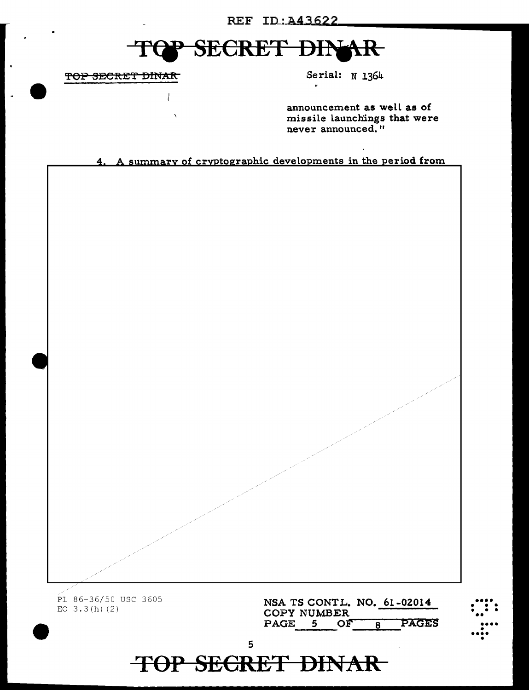### REF ID: A43622

#### **SECRET DIN** 干 **LAR**

TOP SECRET DINAR

Serial: N 1364

announcement as well as of missile launchings that were never announced."

4. A summary of cryptographic developments in the period from

PL 86-36/50 USC 3605 EO  $3.3(h)$  (2)

NSA TS CONTL. NO. 61-02014 COPY NUMBER PAGE 5 OF PAGES  $\overline{8}$ 

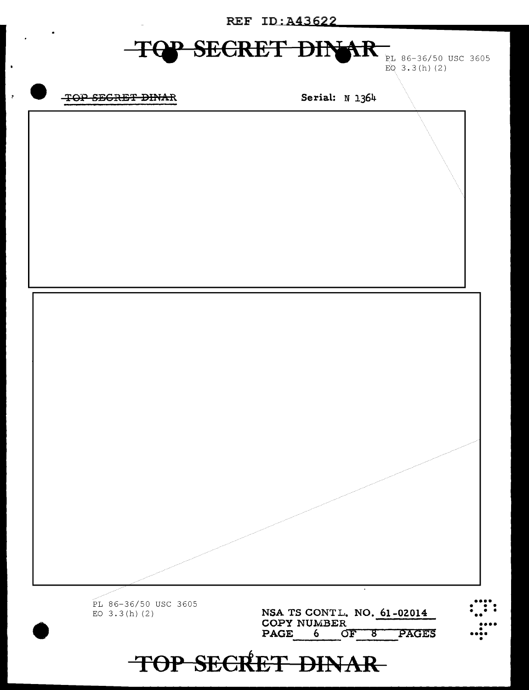**REF ID: A43622** 

#### $\overline{\textbf{f}}$ **SECRET DIN**

PL 86-36/50 USC 3605 EQ  $3.3(h)$  (2)

### TOP SEGRET DINAR

 $\overline{a}$ 

 $\blacksquare$ 

Serial: N 1364

PL 86-36/50 USC 3605 NSA TS CONTL. NO. 61-02014 EO  $3.3(h)$  (2) COPY NUMBER PAGE 6 OF 8 PAGES TOP SECRET DINAR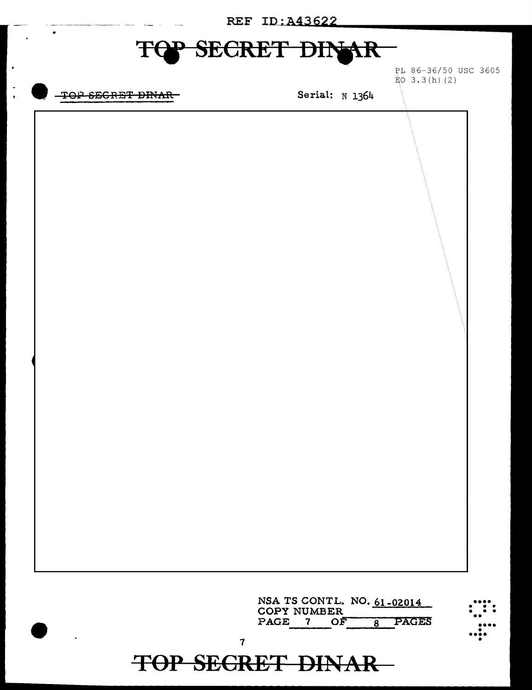| REF ID: A43622 |                                                              |  |  |  |  |  |
|----------------|--------------------------------------------------------------|--|--|--|--|--|
| F              | SECRET DINAR                                                 |  |  |  |  |  |
|                | PL 86-36/50 USC 3605<br>$E_0$ 3.3(h)(2)                      |  |  |  |  |  |
| TOP SEGRET     | Serial: N 1364                                               |  |  |  |  |  |
|                |                                                              |  |  |  |  |  |
|                |                                                              |  |  |  |  |  |
|                |                                                              |  |  |  |  |  |
|                |                                                              |  |  |  |  |  |
|                |                                                              |  |  |  |  |  |
|                |                                                              |  |  |  |  |  |
|                |                                                              |  |  |  |  |  |
|                |                                                              |  |  |  |  |  |
|                |                                                              |  |  |  |  |  |
|                |                                                              |  |  |  |  |  |
|                |                                                              |  |  |  |  |  |
|                |                                                              |  |  |  |  |  |
|                |                                                              |  |  |  |  |  |
|                |                                                              |  |  |  |  |  |
|                |                                                              |  |  |  |  |  |
|                |                                                              |  |  |  |  |  |
|                |                                                              |  |  |  |  |  |
|                |                                                              |  |  |  |  |  |
|                |                                                              |  |  |  |  |  |
|                |                                                              |  |  |  |  |  |
|                |                                                              |  |  |  |  |  |
|                | NSA TS CONTL. NO. 61-02014<br><b>COPY NUMBER</b>             |  |  |  |  |  |
|                | <b>PAGES</b><br>PAGE<br>OF<br>$\mathbf{7}$<br>$\overline{8}$ |  |  |  |  |  |
|                | $\overline{\mathbf{7}}$<br><b>TOP SECRET DINAR</b>           |  |  |  |  |  |

 $\ddot{\phantom{1}}$ 

 $\ddot{\cdot}$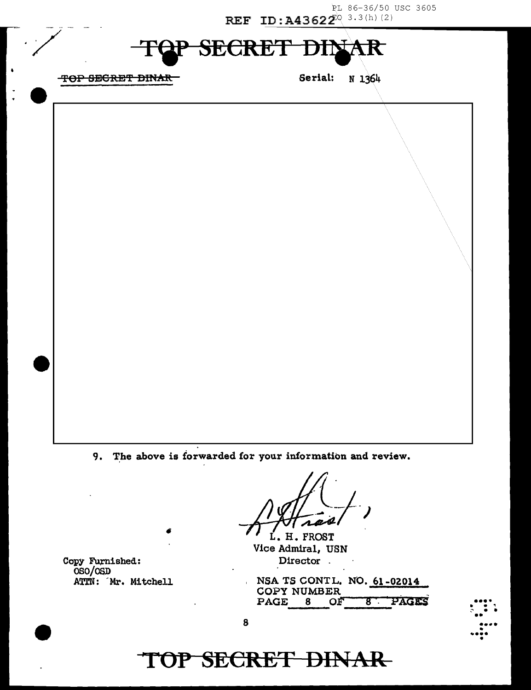PL 86-36/50 USC 3605 REF ID: A43622<sup>0</sup> 3.3(h)(2)

#### **SECRET** Đ R

TOP SEGRET DINAR

Serial: N 1364

9. The above is forwarded for your information and review.

L. H. FROST Vice Admiral, USN Director.

Copy Furnished: OSO/OSD ATTN: Mr. Mitchell

NSA TS CONTL. NO. 61-02014 **COPY NUMBER** PAGES PAGE 8 ОĒ  $\overline{8}$ 



#### 8